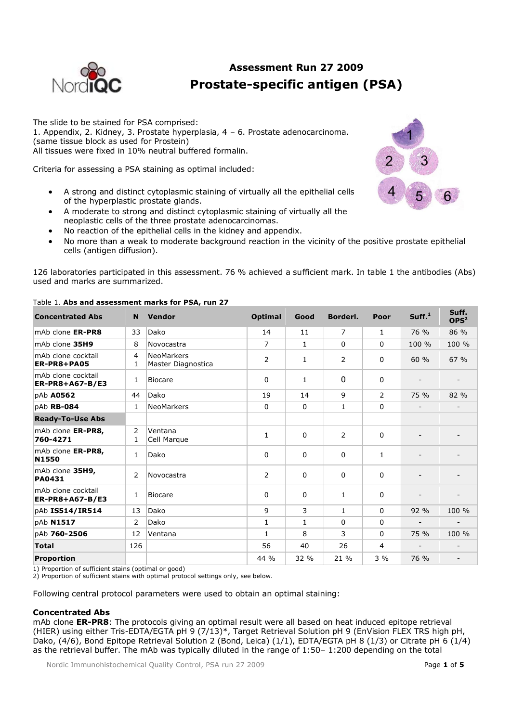

# **Assessment Run 27 2009 Prostate-specific antigen (PSA)**

The slide to be stained for PSA comprised: 1. Appendix, 2. Kidney, 3. Prostate hyperplasia, 4 – 6. Prostate adenocarcinoma. (same tissue block as used for Prostein) All tissues were fixed in 10% neutral buffered formalin.

Criteria for assessing a PSA staining as optimal included:

- A strong and distinct cytoplasmic staining of virtually all the epithelial cells of the hyperplastic prostate glands.
- A moderate to strong and distinct cytoplasmic staining of virtually all the neoplastic cells of the three prostate adenocarcinomas.
- No reaction of the epithelial cells in the kidney and appendix.
- No more than a weak to moderate background reaction in the vicinity of the positive prostate epithelial cells (antigen diffusion).

126 laboratories participated in this assessment. 76 % achieved a sufficient mark. In table 1 the antibodies (Abs) used and marks are summarized.

| <b>Concentrated Abs</b>               | <b>N</b>       | Vendor                                  | <b>Optimal</b> | Good         | Borderl. | Poor           | Suff. <sup>1</sup>       | Suff.<br>OPS <sup>2</sup> |
|---------------------------------------|----------------|-----------------------------------------|----------------|--------------|----------|----------------|--------------------------|---------------------------|
| mAb clone ER-PR8                      | 33             | Dako                                    | 14             | 11           | 7        | 1              | 76 %                     | 86 %                      |
| mAb clone 35H9                        | 8              | Novocastra                              | 7              | $\mathbf{1}$ | $\Omega$ | $\Omega$       | 100 %                    | 100 %                     |
| mAb clone cocktail<br>ER-PR8+PA05     | 4<br>1         | <b>NeoMarkers</b><br>Master Diagnostica | 2              | $\mathbf{1}$ | 2        | $\Omega$       | 60%                      | 67 %                      |
| mAb clone cocktail<br>ER-PR8+A67-B/E3 | $\mathbf{1}$   | <b>Biocare</b>                          | 0              | $\mathbf{1}$ | $\Omega$ | 0              |                          |                           |
| pAb A0562                             | 44             | Dako                                    | 19             | 14           | 9        | 2              | 75 %                     | 82 %                      |
| pAb RB-084                            | $\mathbf{1}$   | <b>NeoMarkers</b>                       | 0              | $\Omega$     | 1        | $\Omega$       |                          |                           |
| <b>Ready-To-Use Abs</b>               |                |                                         |                |              |          |                |                          |                           |
| mAb clone ER-PR8,<br>760-4271         | 2<br>1         | Ventana<br>Cell Marque                  | 1              | $\Omega$     | 2        | $\Omega$       |                          |                           |
| mAb clone ER-PR8,<br><b>N1550</b>     | $\mathbf{1}$   | Dako                                    | 0              | $\Omega$     | 0        | $\mathbf{1}$   |                          |                           |
| mAb clone 35H9,<br>PA0431             | 2              | Novocastra                              | $\overline{2}$ | $\Omega$     | 0        | $\Omega$       |                          |                           |
| mAb clone cocktail<br>ER-PR8+A67-B/E3 | 1              | <b>Biocare</b>                          | 0              | $\Omega$     | 1        | $\Omega$       |                          |                           |
| pAb IS514/IR514                       | 13             | Dako                                    | 9              | 3            | 1        | $\Omega$       | 92 %                     | 100 %                     |
| pAb N1517                             | $\overline{2}$ | Dako                                    | 1              | $\mathbf{1}$ | 0        | $\Omega$       | $\overline{\phantom{a}}$ |                           |
| pAb 760-2506                          | 12             | Ventana                                 | $\mathbf{1}$   | 8            | 3        | 0              | 75 %                     | 100 %                     |
| <b>Total</b>                          | 126            |                                         | 56             | 40           | 26       | $\overline{4}$ |                          |                           |
| <b>Proportion</b>                     |                |                                         | 44 %           | 32 %         | 21 %     | $3\%$          | 76 %                     | $\overline{\phantom{a}}$  |

# Table 1. **Abs and assessment marks for PSA, run 27**

1) Proportion of sufficient stains (optimal or good)

2) Proportion of sufficient stains with optimal protocol settings only, see below.

Following central protocol parameters were used to obtain an optimal staining:

# **Concentrated Abs**

mAb clone **ER-PR8**: The protocols giving an optimal result were all based on heat induced epitope retrieval (HIER) using either Tris-EDTA/EGTA pH 9 (7/13)\*, Target Retrieval Solution pH 9 (EnVision FLEX TRS high pH, Dako, (4/6), Bond Epitope Retrieval Solution 2 (Bond, Leica) (1/1), EDTA/EGTA pH 8 (1/3) or Citrate pH 6 (1/4) as the retrieval buffer. The mAb was typically diluted in the range of 1:50– 1:200 depending on the total

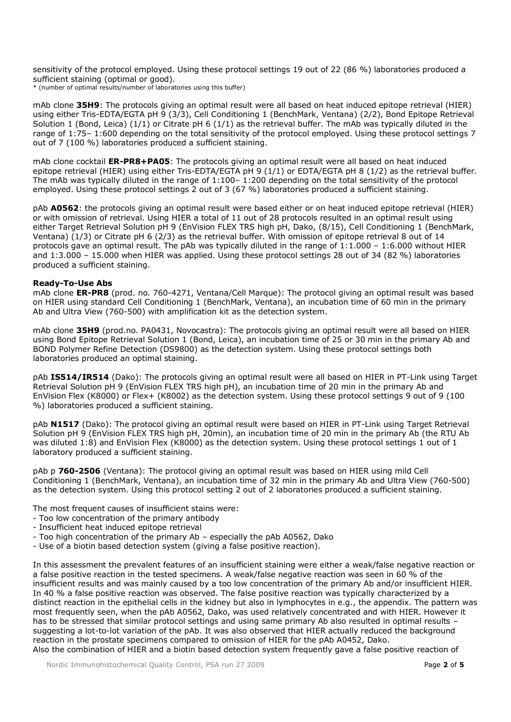sensitivity of the protocol employed. Using these protocol settings 19 out of 22 (86 %) laboratories produced a sufficient staining (optimal or good).

\* (number of optimal results/number of laboratories using this buffer)

mAb clone **35H9**: The protocols giving an optimal result were all based on heat induced epitope retrieval (HIER) using either Tris-EDTA/EGTA pH 9 (3/3), Cell Conditioning 1 (BenchMark, Ventana) (2/2), Bond Epitope Retrieval Solution 1 (Bond, Leica) (1/1) or Citrate pH 6 (1/1) as the retrieval buffer. The mAb was typically diluted in the range of 1:75– 1:600 depending on the total sensitivity of the protocol employed. Using these protocol settings 7 out of 7 (100 %) laboratories produced a sufficient staining.

mAb clone cocktail **ER-PR8+PA05**: The protocols giving an optimal result were all based on heat induced epitope retrieval (HIER) using either Tris-EDTA/EGTA pH 9 (1/1) or EDTA/EGTA pH 8 (1/2) as the retrieval buffer. The mAb was typically diluted in the range of 1:100– 1:200 depending on the total sensitivity of the protocol employed. Using these protocol settings 2 out of 3 (67 %) laboratories produced a sufficient staining.

pAb **A0562**: the protocols giving an optimal result were based either or on heat induced epitope retrieval (HIER) or with omission of retrieval. Using HIER a total of 11 out of 28 protocols resulted in an optimal result using either Target Retrieval Solution pH 9 (EnVision FLEX TRS high pH, Dako, (8/15), Cell Conditioning 1 (BenchMark, Ventana) (1/3) or Citrate pH 6 (2/3) as the retrieval buffer. With omission of epitope retrieval 8 out of 14 protocols gave an optimal result. The pAb was typically diluted in the range of 1:1.000 – 1:6.000 without HIER and 1:3.000 – 15.000 when HIER was applied. Using these protocol settings 28 out of 34 (82 %) laboratories produced a sufficient staining.

# **Ready-To-Use Abs**

mAb clone **ER-PR8** (prod. no. 760-4271, Ventana/Cell Marque): The protocol giving an optimal result was based on HIER using standard Cell Conditioning 1 (BenchMark, Ventana), an incubation time of 60 min in the primary Ab and Ultra View (760-500) with amplification kit as the detection system.

mAb clone **35H9** (prod.no. PA0431, Novocastra): The protocols giving an optimal result were all based on HIER using Bond Epitope Retrieval Solution 1 (Bond, Leica), an incubation time of 25 or 30 min in the primary Ab and BOND Polymer Refine Detection (DS9800) as the detection system. Using these protocol settings both laboratories produced an optimal staining.

pAb **IS514/IR514** (Dako): The protocols giving an optimal result were all based on HIER in PT-Link using Target Retrieval Solution pH 9 (EnVision FLEX TRS high pH), an incubation time of 20 min in the primary Ab and EnVision Flex (K8000) or Flex+ (K8002) as the detection system. Using these protocol settings 9 out of 9 (100 %) laboratories produced a sufficient staining.

pAb **N1517** (Dako): The protocol giving an optimal result were based on HIER in PT-Link using Target Retrieval Solution pH 9 (EnVision FLEX TRS high pH, 20min), an incubation time of 20 min in the primary Ab (the RTU Ab was diluted 1:8) and EnVision Flex (K8000) as the detection system. Using these protocol settings 1 out of 1 laboratory produced a sufficient staining.

pAb p **760-2506** (Ventana): The protocol giving an optimal result was based on HIER using mild Cell Conditioning 1 (BenchMark, Ventana), an incubation time of 32 min in the primary Ab and Ultra View (760-500) as the detection system. Using this protocol setting 2 out of 2 laboratories produced a sufficient staining.

The most frequent causes of insufficient stains were:

- Too low concentration of the primary antibody
- Insufficient heat induced epitope retrieval
- Too high concentration of the primary Ab especially the pAb A0562, Dako
- Use of a biotin based detection system (giving a false positive reaction).

In this assessment the prevalent features of an insufficient staining were either a weak/false negative reaction or a false positive reaction in the tested specimens. A weak/false negative reaction was seen in 60 % of the insufficient results and was mainly caused by a too low concentration of the primary Ab and/or insufficient HIER. In 40 % a false positive reaction was observed. The false positive reaction was typically characterized by a distinct reaction in the epithelial cells in the kidney but also in lymphocytes in e.g., the appendix. The pattern was most frequently seen, when the pAb A0562, Dako, was used relatively concentrated and with HIER. However it has to be stressed that similar protocol settings and using same primary Ab also resulted in optimal results – suggesting a lot-to-lot variation of the pAb. It was also observed that HIER actually reduced the background reaction in the prostate specimens compared to omission of HIER for the pAb A0452, Dako. Also the combination of HIER and a biotin based detection system frequently gave a false positive reaction of

Nordic Immunohistochemical Quality Control, PSA run 27 2009 Page **2** of **5**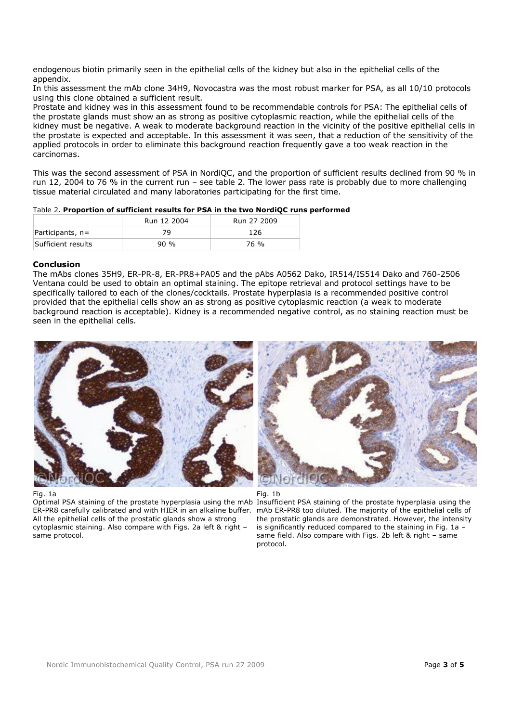endogenous biotin primarily seen in the epithelial cells of the kidney but also in the epithelial cells of the appendix.

In this assessment the mAb clone 34H9, Novocastra was the most robust marker for PSA, as all 10/10 protocols using this clone obtained a sufficient result.

Prostate and kidney was in this assessment found to be recommendable controls for PSA: The epithelial cells of the prostate glands must show an as strong as positive cytoplasmic reaction, while the epithelial cells of the kidney must be negative. A weak to moderate background reaction in the vicinity of the positive epithelial cells in the prostate is expected and acceptable. In this assessment it was seen, that a reduction of the sensitivity of the applied protocols in order to eliminate this background reaction frequently gave a too weak reaction in the carcinomas.

This was the second assessment of PSA in NordiQC, and the proportion of sufficient results declined from 90 % in run 12, 2004 to 76 % in the current run – see table 2. The lower pass rate is probably due to more challenging tissue material circulated and many laboratories participating for the first time.

# Table 2. **Proportion of sufficient results for PSA in the two NordiQC runs performed**

|                    | Run 12 2004 | Run 27 2009 |
|--------------------|-------------|-------------|
| Participants, $n=$ | 79          | 126         |
| Sufficient results | $90\%$      | 76 %        |

# **Conclusion**

The mAbs clones 35H9, ER-PR-8, ER-PR8+PA05 and the pAbs A0562 Dako, IR514/IS514 Dako and 760-2506 Ventana could be used to obtain an optimal staining. The epitope retrieval and protocol settings have to be specifically tailored to each of the clones/cocktails. Prostate hyperplasia is a recommended positive control provided that the epithelial cells show an as strong as positive cytoplasmic reaction (a weak to moderate background reaction is acceptable). Kidney is a recommended negative control, as no staining reaction must be seen in the epithelial cells.



## Fig. 1a

Optimal PSA staining of the prostate hyperplasia using the mAb Insufficient PSA staining of the prostate hyperplasia using the ER-PR8 carefully calibrated and with HIER in an alkaline buffer. All the epithelial cells of the prostatic glands show a strong cytoplasmic staining. Also compare with Figs. 2a left & right – same protocol.





mAb ER-PR8 too diluted. The majority of the epithelial cells of the prostatic glands are demonstrated. However, the intensity is significantly reduced compared to the staining in Fig. 1a – same field. Also compare with Figs. 2b left & right – same protocol.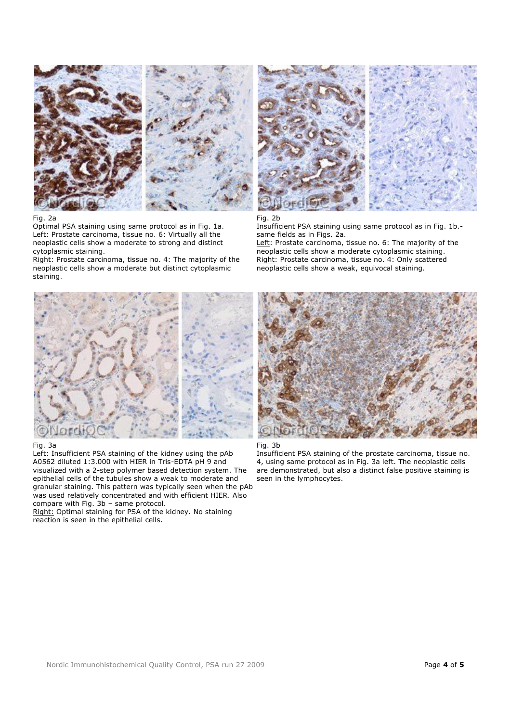



#### Fig. 2a

Optimal PSA staining using same protocol as in Fig. 1a. Left: Prostate carcinoma, tissue no. 6: Virtually all the neoplastic cells show a moderate to strong and distinct cytoplasmic staining.

Right: Prostate carcinoma, tissue no. 4: The majority of the neoplastic cells show a moderate but distinct cytoplasmic staining.



### Fig. 3a

Left: Insufficient PSA staining of the kidney using the pAb A0562 diluted 1:3.000 with HIER in Tris-EDTA pH 9 and visualized with a 2-step polymer based detection system. The epithelial cells of the tubules show a weak to moderate and granular staining. This pattern was typically seen when the pAb was used relatively concentrated and with efficient HIER. Also compare with Fig. 3b – same protocol.

Right: Optimal staining for PSA of the kidney. No staining reaction is seen in the epithelial cells.



## Fig. 2b

Insufficient PSA staining using same protocol as in Fig. 1b. same fields as in Figs. 2a.

Left: Prostate carcinoma, tissue no. 6: The majority of the neoplastic cells show a moderate cytoplasmic staining. Right: Prostate carcinoma, tissue no. 4: Only scattered neoplastic cells show a weak, equivocal staining.





Insufficient PSA staining of the prostate carcinoma, tissue no. 4, using same protocol as in Fig. 3a left. The neoplastic cells are demonstrated, but also a distinct false positive staining is seen in the lymphocytes.